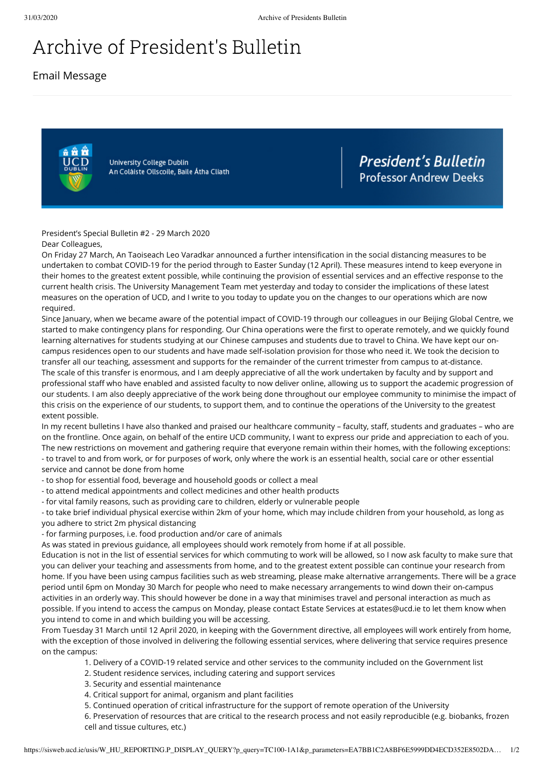## Archive of President's Bulletin

Email Message



University College Dublin An Coláiste Ollscoile, Baile Átha Cliath **President's Bulletin Professor Andrew Deeks** 

President's Special Bulletin #2 - 29 March 2020

Dear Colleagues,

On Friday 27 March, An Taoiseach Leo Varadkar announced a further intensification in the social distancing measures to be undertaken to combat COVID-19 for the period through to Easter Sunday (12 April). These measures intend to keep everyone in their homes to the greatest extent possible, while continuing the provision of essential services and an effective response to the current health crisis. The University Management Team met yesterday and today to consider the implications of these latest measures on the operation of UCD, and I write to you today to update you on the changes to our operations which are now required.

Since January, when we became aware of the potential impact of COVID-19 through our colleagues in our Beijing Global Centre, we started to make contingency plans for responding. Our China operations were the first to operate remotely, and we quickly found learning alternatives for students studying at our Chinese campuses and students due to travel to China. We have kept our oncampus residences open to our students and have made self-isolation provision for those who need it. We took the decision to transfer all our teaching, assessment and supports for the remainder of the current trimester from campus to at-distance. The scale of this transfer is enormous, and I am deeply appreciative of all the work undertaken by faculty and by support and professional staff who have enabled and assisted faculty to now deliver online, allowing us to support the academic progression of our students. I am also deeply appreciative of the work being done throughout our employee community to minimise the impact of this crisis on the experience of our students, to support them, and to continue the operations of the University to the greatest extent possible.

In my recent bulletins I have also thanked and praised our healthcare community – faculty, staff, students and graduates – who are on the frontline. Once again, on behalf of the entire UCD community, I want to express our pride and appreciation to each of you. The new restrictions on movement and gathering require that everyone remain within their homes, with the following exceptions: - to travel to and from work, or for purposes of work, only where the work is an essential health, social care or other essential

service and cannot be done from home

- to shop for essential food, beverage and household goods or collect a meal

- to attend medical appointments and collect medicines and other health products

- for vital family reasons, such as providing care to children, elderly or vulnerable people

- to take brief individual physical exercise within 2km of your home, which may include children from your household, as long as you adhere to strict 2m physical distancing

- for farming purposes, i.e. food production and/or care of animals

As was stated in previous guidance, all employees should work remotely from home if at all possible.

Education is not in the list of essential services for which commuting to work will be allowed, so I now ask faculty to make sure that you can deliver your teaching and assessments from home, and to the greatest extent possible can continue your research from home. If you have been using campus facilities such as web streaming, please make alternative arrangements. There will be a grace period until 6pm on Monday 30 March for people who need to make necessary arrangements to wind down their on-campus activities in an orderly way. This should however be done in a way that minimises travel and personal interaction as much as possible. If you intend to access the campus on Monday, please contact Estate Services at estates@ucd.ie to let them know when you intend to come in and which building you will be accessing.

From Tuesday 31 March until 12 April 2020, in keeping with the Government directive, all employees will work entirely from home, with the exception of those involved in delivering the following essential services, where delivering that service requires presence on the campus:

- 1. Delivery of a COVID-19 related service and other services to the community included on the Government list
- 2. Student residence services, including catering and support services
- 3. Security and essential maintenance
- 4. Critical support for animal, organism and plant facilities
- 5. Continued operation of critical infrastructure for the support of remote operation of the University

6. Preservation of resources that are critical to the research process and not easily reproducible (e.g. biobanks, frozen cell and tissue cultures, etc.)